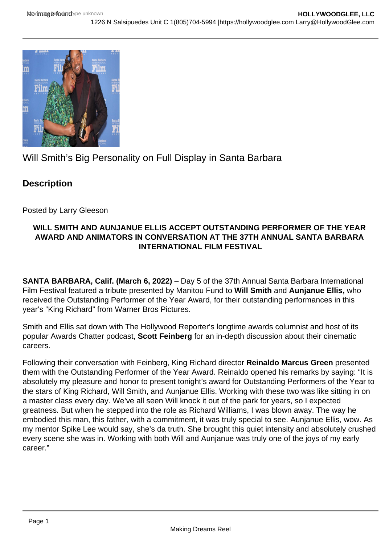

Will Smith's Big Personality on Full Display in Santa Barbara

## **Description**

Posted by Larry Gleeson

## **WILL SMITH AND AUNJANUE ELLIS ACCEPT OUTSTANDING PERFORMER OF THE YEAR AWARD AND ANIMATORS IN CONVERSATION AT THE 37TH ANNUAL SANTA BARBARA INTERNATIONAL FILM FESTIVAL**

**SANTA BARBARA, Calif. (March 6, 2022)** – Day 5 of the 37th Annual Santa Barbara International Film Festival featured a tribute presented by Manitou Fund to **Will Smith** and **Aunjanue Ellis,** who received the Outstanding Performer of the Year Award, for their outstanding performances in this year's "King Richard" from Warner Bros Pictures.

Smith and Ellis sat down with The Hollywood Reporter's longtime awards columnist and host of its popular Awards Chatter podcast, **Scott Feinberg** for an in-depth discussion about their cinematic careers.

Following their conversation with Feinberg, King Richard director **Reinaldo Marcus Green** presented them with the Outstanding Performer of the Year Award. Reinaldo opened his remarks by saying: "It is absolutely my pleasure and honor to present tonight's award for Outstanding Performers of the Year to the stars of King Richard, Will Smith, and Aunjanue Ellis. Working with these two was like sitting in on a master class every day. We've all seen Will knock it out of the park for years, so I expected greatness. But when he stepped into the role as Richard Williams, I was blown away. The way he embodied this man, this father, with a commitment, it was truly special to see. Aunjanue Ellis, wow. As my mentor Spike Lee would say, she's da truth. She brought this quiet intensity and absolutely crushed every scene she was in. Working with both Will and Aunjanue was truly one of the joys of my early career."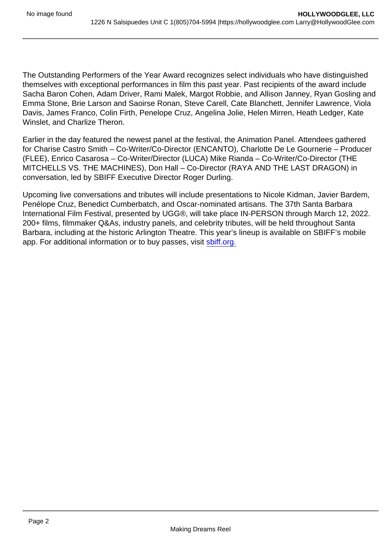The Outstanding Performers of the Year Award recognizes select individuals who have distinguished themselves with exceptional performances in film this past year. Past recipients of the award include Sacha Baron Cohen, Adam Driver, Rami Malek, Margot Robbie, and Allison Janney, Ryan Gosling and Emma Stone, Brie Larson and Saoirse Ronan, Steve Carell, Cate Blanchett, Jennifer Lawrence, Viola Davis, James Franco, Colin Firth, Penelope Cruz, Angelina Jolie, Helen Mirren, Heath Ledger, Kate Winslet, and Charlize Theron.

Earlier in the day featured the newest panel at the festival, the Animation Panel. Attendees gathered for Charise Castro Smith – Co-Writer/Co-Director (ENCANTO), Charlotte De Le Gournerie – Producer (FLEE), Enrico Casarosa – Co-Writer/Director (LUCA) Mike Rianda – Co-Writer/Co-Director (THE MITCHELLS VS. THE MACHINES), Don Hall – Co-Director (RAYA AND THE LAST DRAGON) in conversation, led by SBIFF Executive Director Roger Durling.

Upcoming live conversations and tributes will include presentations to Nicole Kidman, Javier Bardem, Penélope Cruz, Benedict Cumberbatch, and Oscar-nominated artisans. The 37th Santa Barbara International Film Festival, presented by UGG®, will take place IN-PERSON through March 12, 2022. 200+ films, filmmaker Q&As, industry panels, and celebrity tributes, will be held throughout Santa Barbara, including at the historic Arlington Theatre. This year's lineup is available on SBIFF's mobile app. For additional information or to buy passes, visit [sbiff.org.](http://sbiff.org)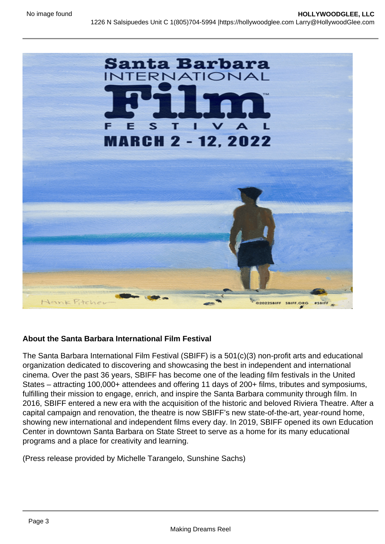About the Santa Barbara International Film Festival

The Santa Barbara International Film Festival (SBIFF) is a 501(c)(3) non-profit arts and educational organization dedicated to discovering and showcasing the best in independent and international cinema. Over the past 36 years, SBIFF has become one of the leading film festivals in the United States – attracting 100,000+ attendees and offering 11 days of 200+ films, tributes and symposiums, fulfilling their mission to engage, enrich, and inspire the Santa Barbara community through film. In 2016, SBIFF entered a new era with the acquisition of the historic and beloved Riviera Theatre. After a capital campaign and renovation, the theatre is now SBIFF's new state-of-the-art, year-round home, showing new international and independent films every day. In 2019, SBIFF opened its own Education Center in downtown Santa Barbara on State Street to serve as a home for its many educational programs and a place for creativity and learning.

(Press release provided by Michelle Tarangelo, Sunshine Sachs)